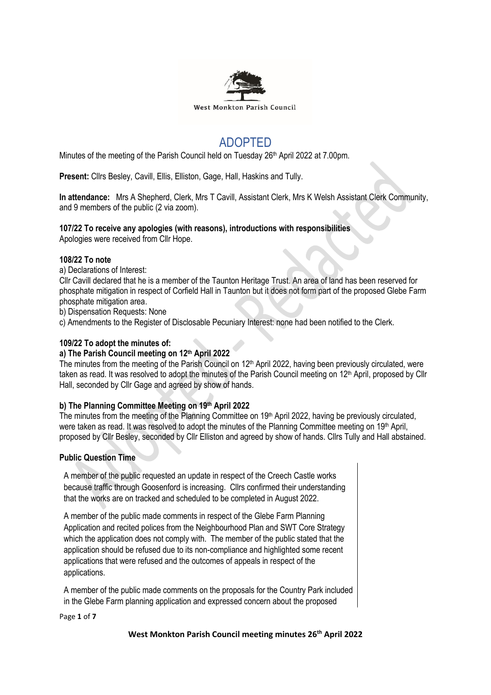

# ADOPTED

Minutes of the meeting of the Parish Council held on Tuesday 26<sup>th</sup> April 2022 at 7.00pm.

**Present:** Cllrs Besley, Cavill, Ellis, Elliston, Gage, Hall, Haskins and Tully.

**In attendance:** Mrs A Shepherd, Clerk, Mrs T Cavill, Assistant Clerk, Mrs K Welsh Assistant Clerk Community, and 9 members of the public (2 via zoom).

# **107/22 To receive any apologies (with reasons), introductions with responsibilities**

Apologies were received from Cllr Hope.

## **108/22 To note**

a) Declarations of Interest:

Cllr Cavill declared that he is a member of the Taunton Heritage Trust. An area of land has been reserved for phosphate mitigation in respect of Corfield Hall in Taunton but it does not form part of the proposed Glebe Farm phosphate mitigation area.

b) Dispensation Requests: None

c) Amendments to the Register of Disclosable Pecuniary Interest: none had been notified to the Clerk.

## **109/22 To adopt the minutes of:**

## **a) The Parish Council meeting on 12th April 2022**

The minutes from the meeting of the Parish Council on  $12<sup>th</sup>$  April 2022, having been previously circulated, were taken as read. It was resolved to adopt the minutes of the Parish Council meeting on 12<sup>th</sup> April, proposed by Cllr Hall, seconded by Cllr Gage and agreed by show of hands.

# **b) The Planning Committee Meeting on 19th April 2022**

The minutes from the meeting of the Planning Committee on 19<sup>th</sup> April 2022, having be previously circulated, were taken as read. It was resolved to adopt the minutes of the Planning Committee meeting on 19th April, proposed by Cllr Besley, seconded by Cllr Elliston and agreed by show of hands. Cllrs Tully and Hall abstained.

## **Public Question Time**

A member of the public requested an update in respect of the Creech Castle works because traffic through Goosenford is increasing. Cllrs confirmed their understanding that the works are on tracked and scheduled to be completed in August 2022.

A member of the public made comments in respect of the Glebe Farm Planning Application and recited polices from the Neighbourhood Plan and SWT Core Strategy which the application does not comply with. The member of the public stated that the application should be refused due to its non-compliance and highlighted some recent applications that were refused and the outcomes of appeals in respect of the applications.

A member of the public made comments on the proposals for the Country Park included in the Glebe Farm planning application and expressed concern about the proposed

Page **1** of **7**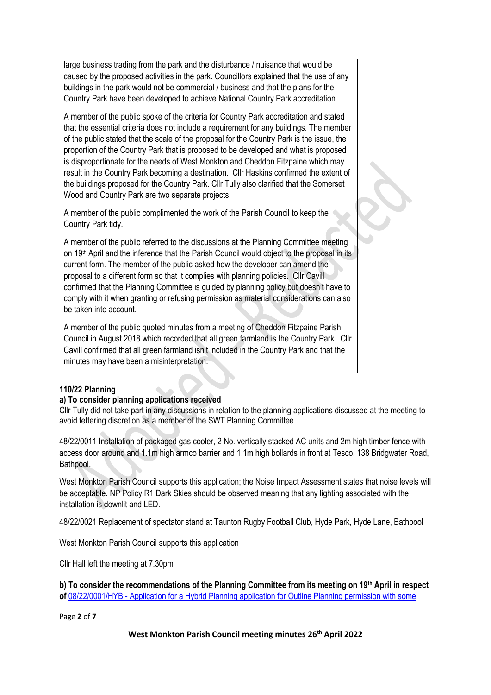large business trading from the park and the disturbance / nuisance that would be caused by the proposed activities in the park. Councillors explained that the use of any buildings in the park would not be commercial / business and that the plans for the Country Park have been developed to achieve National Country Park accreditation.

A member of the public spoke of the criteria for Country Park accreditation and stated that the essential criteria does not include a requirement for any buildings. The member of the public stated that the scale of the proposal for the Country Park is the issue, the proportion of the Country Park that is proposed to be developed and what is proposed is disproportionate for the needs of West Monkton and Cheddon Fitzpaine which may result in the Country Park becoming a destination. Cllr Haskins confirmed the extent of the buildings proposed for the Country Park. Cllr Tully also clarified that the Somerset Wood and Country Park are two separate projects.

A member of the public complimented the work of the Parish Council to keep the Country Park tidy.

A member of the public referred to the discussions at the Planning Committee meeting on 19<sup>th</sup> April and the inference that the Parish Council would object to the proposal in its current form. The member of the public asked how the developer can amend the proposal to a different form so that it complies with planning policies. Cllr Cavill confirmed that the Planning Committee is guided by planning policy but doesn't have to comply with it when granting or refusing permission as material considerations can also be taken into account.

A member of the public quoted minutes from a meeting of Cheddon Fitzpaine Parish Council in August 2018 which recorded that all green farmland is the Country Park. Cllr Cavill confirmed that all green farmland isn't included in the Country Park and that the minutes may have been a misinterpretation.

# **110/22 Planning**

## **a) To consider planning applications received**

Cllr Tully did not take part in any discussions in relation to the planning applications discussed at the meeting to avoid fettering discretion as a member of the SWT Planning Committee.

48/22/0011 Installation of packaged gas cooler, 2 No. vertically stacked AC units and 2m high timber fence with access door around and 1.1m high armco barrier and 1.1m high bollards in front at Tesco, 138 Bridgwater Road, Bathpool.

West Monkton Parish Council supports this application; the Noise Impact Assessment states that noise levels will be acceptable. NP Policy R1 Dark Skies should be observed meaning that any lighting associated with the installation is downlit and LED.

48/22/0021 Replacement of spectator stand at Taunton Rugby Football Club, Hyde Park, Hyde Lane, Bathpool

West Monkton Parish Council supports this application

Cllr Hall left the meeting at 7.30pm

**b) To consider the recommendations of the Planning Committee from its meeting on 19th April in respect of** 08/22/0001/HYB - [Application for a Hybrid Planning application for Outline Planning permission with some](https://www3.somersetwestandtaunton.gov.uk/asp/webpages/plan/PlAppDets.asp?casefullref=08/22/0001/HYB&QC=z8XC1) 

Page **2** of **7**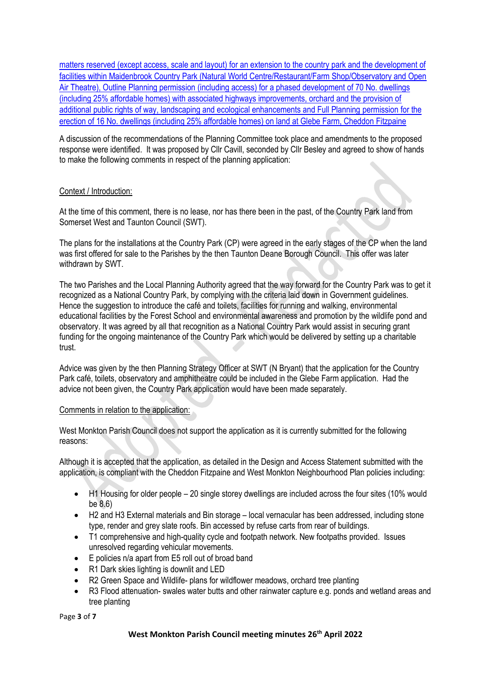[matters reserved \(except access, scale and layout\) for an extension to the country park and the development of](https://www3.somersetwestandtaunton.gov.uk/asp/webpages/plan/PlAppDets.asp?casefullref=08/22/0001/HYB&QC=z8XC1)  [facilities within Maidenbrook Country Park \(Natural World Centre/Restaurant/Farm Shop/Observatory and Open](https://www3.somersetwestandtaunton.gov.uk/asp/webpages/plan/PlAppDets.asp?casefullref=08/22/0001/HYB&QC=z8XC1)  Air Theatre), Outline Planning permission [\(including access\) for a phased development of 70 No. dwellings](https://www3.somersetwestandtaunton.gov.uk/asp/webpages/plan/PlAppDets.asp?casefullref=08/22/0001/HYB&QC=z8XC1)  [\(including 25% affordable homes\) with associated highways improvements, orchard and the provision of](https://www3.somersetwestandtaunton.gov.uk/asp/webpages/plan/PlAppDets.asp?casefullref=08/22/0001/HYB&QC=z8XC1)  [additional public rights of way, landscaping and ecological enhancements and Full Planning](https://www3.somersetwestandtaunton.gov.uk/asp/webpages/plan/PlAppDets.asp?casefullref=08/22/0001/HYB&QC=z8XC1) permission for the [erection of 16 No. dwellings \(including 25% affordable homes\) on land at Glebe Farm, Cheddon Fitzpaine](https://www3.somersetwestandtaunton.gov.uk/asp/webpages/plan/PlAppDets.asp?casefullref=08/22/0001/HYB&QC=z8XC1)

A discussion of the recommendations of the Planning Committee took place and amendments to the proposed response were identified. It was proposed by Cllr Cavill, seconded by Cllr Besley and agreed to show of hands to make the following comments in respect of the planning application:

# Context / Introduction:

At the time of this comment, there is no lease, nor has there been in the past, of the Country Park land from Somerset West and Taunton Council (SWT).

The plans for the installations at the Country Park (CP) were agreed in the early stages of the CP when the land was first offered for sale to the Parishes by the then Taunton Deane Borough Council. This offer was later withdrawn by SWT.

The two Parishes and the Local Planning Authority agreed that the way forward for the Country Park was to get it recognized as a National Country Park, by complying with the criteria laid down in Government guidelines. Hence the suggestion to introduce the café and toilets, facilities for running and walking, environmental educational facilities by the Forest School and environmental awareness and promotion by the wildlife pond and observatory. It was agreed by all that recognition as a National Country Park would assist in securing grant funding for the ongoing maintenance of the Country Park which would be delivered by setting up a charitable trust.

Advice was given by the then Planning Strategy Officer at SWT (N Bryant) that the application for the Country Park café, toilets, observatory and amphitheatre could be included in the Glebe Farm application. Had the advice not been given, the Country Park application would have been made separately.

## Comments in relation to the application:

West Monkton Parish Council does not support the application as it is currently submitted for the following reasons:

Although it is accepted that the application, as detailed in the Design and Access Statement submitted with the application, is compliant with the Cheddon Fitzpaine and West Monkton Neighbourhood Plan policies including:

- H1 Housing for older people 20 single storey dwellings are included across the four sites (10% would be 8.6)
- H2 and H3 External materials and Bin storage local vernacular has been addressed, including stone type, render and grey slate roofs. Bin accessed by refuse carts from rear of buildings.
- T1 comprehensive and high-quality cycle and footpath network. New footpaths provided. Issues unresolved regarding vehicular movements.
- E policies n/a apart from E5 roll out of broad band
- R1 Dark skies lighting is downlit and LED
- R2 Green Space and Wildlife- plans for wildflower meadows, orchard tree planting
- R3 Flood attenuation- swales water butts and other rainwater capture e.g. ponds and wetland areas and tree planting

Page **3** of **7**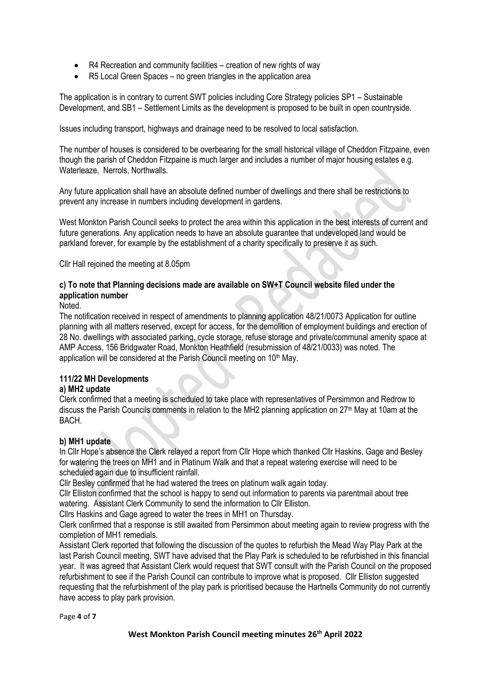- R4 Recreation and community facilities creation of new rights of way
- R5 Local Green Spaces no green triangles in the application area

The application is in contrary to current SWT policies including Core Strategy policies SP1 – Sustainable Development, and SB1 – Settlement Limits as the development is proposed to be built in open countryside.

Issues including transport, highways and drainage need to be resolved to local satisfaction.

The number of houses is considered to be overbearing for the small historical village of Cheddon Fitzpaine, even though the parish of Cheddon Fitzpaine is much larger and includes a number of major housing estates e.g. Waterleaze, Nerrols, Northwalls.

Any future application shall have an absolute defined number of dwellings and there shall be restrictions to prevent any increase in numbers including development in gardens.

West Monkton Parish Council seeks to protect the area within this application in the best interests of current and future generations. Any application needs to have an absolute guarantee that undeveloped land would be parkland forever, for example by the establishment of a charity specifically to preserve it as such.

Cllr Hall rejoined the meeting at 8.05pm

# **c) To note that Planning decisions made are available on SW+T Council website filed under the application number**

## **Noted**

The notification received in respect of amendments to planning application 48/21/0073 Application for outline planning with all matters reserved, except for access, for the demolition of employment buildings and erection of 28 No. dwellings with associated parking, cycle storage, refuse storage and private/communal amenity space at AMP Access, 156 Bridgwater Road, Monkton Heathfield (resubmission of 48/21/0033) was noted. The application will be considered at the Parish Council meeting on 10<sup>th</sup> May.

# **111/22 MH Developments**

# **a) MH2 update**

Clerk confirmed that a meeting is scheduled to take place with representatives of Persimmon and Redrow to discuss the Parish Councils comments in relation to the MH2 planning application on 27<sup>th</sup> May at 10am at the BACH.

# **b) MH1 update**

In Cllr Hope's absence the Clerk relayed a report from Cllr Hope which thanked Cllr Haskins, Gage and Besley for watering the trees on MH1 and in Platinum Walk and that a repeat watering exercise will need to be scheduled again due to insufficient rainfall.

Cllr Besley confirmed that he had watered the trees on platinum walk again today.

Cllr Elliston confirmed that the school is happy to send out information to parents via parentmail about tree watering. Assistant Clerk Community to send the information to Cllr Elliston.

Cllrs Haskins and Gage agreed to water the trees in MH1 on Thursday.

Clerk confirmed that a response is still awaited from Persimmon about meeting again to review progress with the completion of MH1 remedials.

Assistant Clerk reported that following the discussion of the quotes to refurbish the Mead Way Play Park at the last Parish Council meeting, SWT have advised that the Play Park is scheduled to be refurbished in this financial year. It was agreed that Assistant Clerk would request that SWT consult with the Parish Council on the proposed refurbishment to see if the Parish Council can contribute to improve what is proposed. Cllr Elliston suggested requesting that the refurbishment of the play park is prioritised because the Hartnells Community do not currently have access to play park provision.

Page **4** of **7**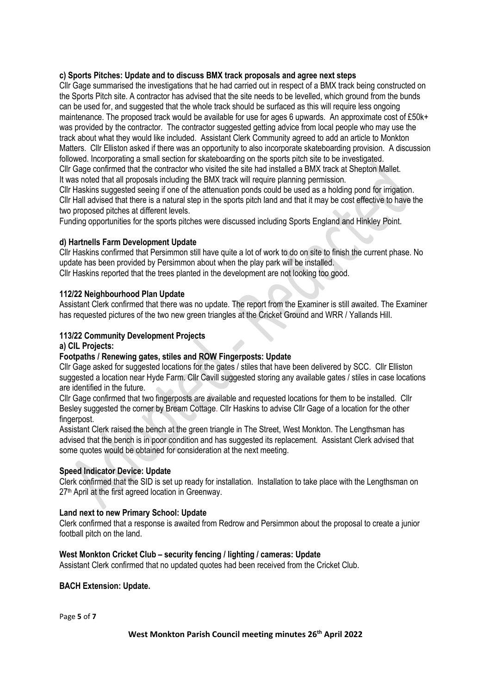# **c) Sports Pitches: Update and to discuss BMX track proposals and agree next steps**

Cllr Gage summarised the investigations that he had carried out in respect of a BMX track being constructed on the Sports Pitch site. A contractor has advised that the site needs to be levelled, which ground from the bunds can be used for, and suggested that the whole track should be surfaced as this will require less ongoing maintenance. The proposed track would be available for use for ages 6 upwards. An approximate cost of £50k+ was provided by the contractor. The contractor suggested getting advice from local people who may use the track about what they would like included. Assistant Clerk Community agreed to add an article to Monkton Matters. Cllr Elliston asked if there was an opportunity to also incorporate skateboarding provision. A discussion followed. Incorporating a small section for skateboarding on the sports pitch site to be investigated. Cllr Gage confirmed that the contractor who visited the site had installed a BMX track at Shepton Mallet. It was noted that all proposals including the BMX track will require planning permission.

Cllr Haskins suggested seeing if one of the attenuation ponds could be used as a holding pond for irrigation. Cllr Hall advised that there is a natural step in the sports pitch land and that it may be cost effective to have the two proposed pitches at different levels.

Funding opportunities for the sports pitches were discussed including Sports England and Hinkley Point.

# **d) Hartnells Farm Development Update**

Cllr Haskins confirmed that Persimmon still have quite a lot of work to do on site to finish the current phase. No update has been provided by Persimmon about when the play park will be installed.

Cllr Haskins reported that the trees planted in the development are not looking too good.

## **112/22 Neighbourhood Plan Update**

Assistant Clerk confirmed that there was no update. The report from the Examiner is still awaited. The Examiner has requested pictures of the two new green triangles at the Cricket Ground and WRR / Yallands Hill.

## **113/22 Community Development Projects**

## **a) CIL Projects:**

## **Footpaths / Renewing gates, stiles and ROW Fingerposts: Update**

Cllr Gage asked for suggested locations for the gates / stiles that have been delivered by SCC. Cllr Elliston suggested a location near Hyde Farm. Cllr Cavill suggested storing any available gates / stiles in case locations are identified in the future.

Cllr Gage confirmed that two fingerposts are available and requested locations for them to be installed. Cllr Besley suggested the corner by Bream Cottage. Cllr Haskins to advise Cllr Gage of a location for the other fingerpost.

Assistant Clerk raised the bench at the green triangle in The Street, West Monkton. The Lengthsman has advised that the bench is in poor condition and has suggested its replacement. Assistant Clerk advised that some quotes would be obtained for consideration at the next meeting.

## **Speed Indicator Device: Update**

Clerk confirmed that the SID is set up ready for installation. Installation to take place with the Lengthsman on 27<sup>th</sup> April at the first agreed location in Greenway.

## **Land next to new Primary School: Update**

Clerk confirmed that a response is awaited from Redrow and Persimmon about the proposal to create a junior football pitch on the land.

# **West Monkton Cricket Club – security fencing / lighting / cameras: Update**

Assistant Clerk confirmed that no updated quotes had been received from the Cricket Club.

## **BACH Extension: Update.**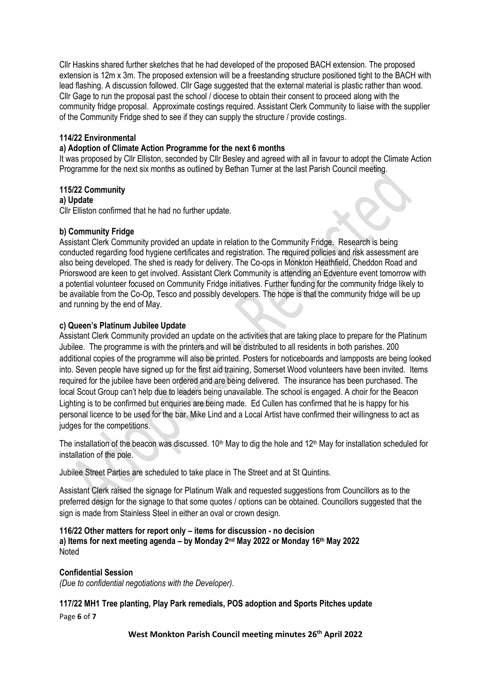Cllr Haskins shared further sketches that he had developed of the proposed BACH extension. The proposed extension is 12m x 3m. The proposed extension will be a freestanding structure positioned tight to the BACH with lead flashing. A discussion followed. Cllr Gage suggested that the external material is plastic rather than wood. Cllr Gage to run the proposal past the school / diocese to obtain their consent to proceed along with the community fridge proposal. Approximate costings required. Assistant Clerk Community to liaise with the supplier of the Community Fridge shed to see if they can supply the structure / provide costings.

## **114/22 Environmental**

## **a) Adoption of Climate Action Programme for the next 6 months**

It was proposed by Cllr Elliston, seconded by Cllr Besley and agreed with all in favour to adopt the Climate Action Programme for the next six months as outlined by Bethan Turner at the last Parish Council meeting.

## **115/22 Community**

## **a) Update**

Cllr Elliston confirmed that he had no further update.

## **b) Community Fridge**

Assistant Clerk Community provided an update in relation to the Community Fridge. Research is being conducted regarding food hygiene certificates and registration. The required policies and risk assessment are also being developed. The shed is ready for delivery. The Co-ops in Monkton Heathfield, Cheddon Road and Priorswood are keen to get involved. Assistant Clerk Community is attending an Edventure event tomorrow with a potential volunteer focused on Community Fridge initiatives. Further funding for the community fridge likely to be available from the Co-Op, Tesco and possibly developers. The hope is that the community fridge will be up and running by the end of May.

# **c) Queen's Platinum Jubilee Update**

Assistant Clerk Community provided an update on the activities that are taking place to prepare for the Platinum Jubilee. The programme is with the printers and will be distributed to all residents in both parishes. 200 additional copies of the programme will also be printed. Posters for noticeboards and lampposts are being looked into. Seven people have signed up for the first aid training, Somerset Wood volunteers have been invited. Items required for the jubilee have been ordered and are being delivered. The insurance has been purchased. The local Scout Group can't help due to leaders being unavailable. The school is engaged. A choir for the Beacon Lighting is to be confirmed but enquiries are being made. Ed Cullen has confirmed that he is happy for his personal licence to be used for the bar. Mike Lind and a Local Artist have confirmed their willingness to act as judges for the competitions.

The installation of the beacon was discussed.  $10<sup>th</sup>$  May to dig the hole and  $12<sup>th</sup>$  May for installation scheduled for installation of the pole.

Jubilee Street Parties are scheduled to take place in The Street and at St Quintins.

Assistant Clerk raised the signage for Platinum Walk and requested suggestions from Councillors as to the preferred design for the signage to that some quotes / options can be obtained. Councillors suggested that the sign is made from Stainless Steel in either an oval or crown design.

## **116/22 Other matters for report only – items for discussion - no decision a) Items for next meeting agenda – by Monday 2 nd May 2022 or Monday 16th May 2022 Noted**

# **Confidential Session**

*(Due to confidential negotiations with the Developer).*

Page **6** of **7 117/22 MH1 Tree planting, Play Park remedials, POS adoption and Sports Pitches update**